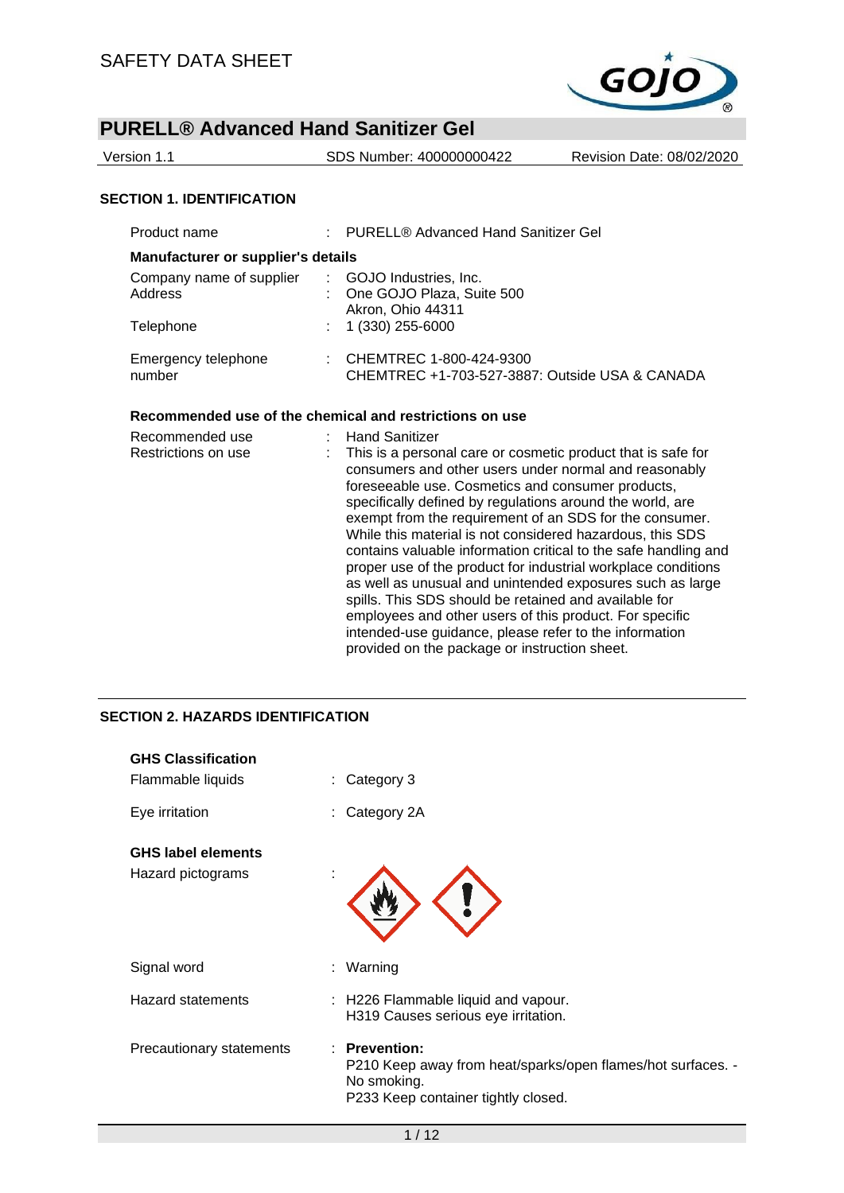

| Version 1.1                      | SDS Number: 400000000422 | Revision Date: 08/02/2020 |
|----------------------------------|--------------------------|---------------------------|
|                                  |                          |                           |
| <b>SECTION 1. IDENTIFICATION</b> |                          |                           |

| Product name                              |  | : PURELL® Advanced Hand Sanitizer Gel                                                  |  |  |  |  |
|-------------------------------------------|--|----------------------------------------------------------------------------------------|--|--|--|--|
| <b>Manufacturer or supplier's details</b> |  |                                                                                        |  |  |  |  |
| Company name of supplier<br>Address       |  | : GOJO Industries, Inc.<br>: One GOJO Plaza, Suite 500<br>Akron, Ohio 44311            |  |  |  |  |
| Telephone                                 |  | $: 1(330) 255 - 6000$                                                                  |  |  |  |  |
| Emergency telephone<br>number             |  | $\therefore$ CHEMTREC 1-800-424-9300<br>CHEMTREC +1-703-527-3887: Outside USA & CANADA |  |  |  |  |

## **Recommended use of the chemical and restrictions on use**

| Recommended use     | <b>Hand Sanitizer</b>                                           |
|---------------------|-----------------------------------------------------------------|
| Restrictions on use | This is a personal care or cosmetic product that is safe for    |
|                     | consumers and other users under normal and reasonably           |
|                     | foreseeable use. Cosmetics and consumer products,               |
|                     | specifically defined by regulations around the world, are       |
|                     | exempt from the requirement of an SDS for the consumer.         |
|                     | While this material is not considered hazardous, this SDS       |
|                     | contains valuable information critical to the safe handling and |
|                     | proper use of the product for industrial workplace conditions   |
|                     | as well as unusual and unintended exposures such as large       |
|                     | spills. This SDS should be retained and available for           |
|                     | employees and other users of this product. For specific         |
|                     | intended-use guidance, please refer to the information          |
|                     | provided on the package or instruction sheet.                   |
|                     |                                                                 |

## **SECTION 2. HAZARDS IDENTIFICATION**

| <b>GHS Classification</b><br>Flammable liquids | : Category 3                                                                                                                       |
|------------------------------------------------|------------------------------------------------------------------------------------------------------------------------------------|
| Eye irritation                                 | Category 2A                                                                                                                        |
| <b>GHS label elements</b><br>Hazard pictograms |                                                                                                                                    |
| Signal word                                    | : Warning                                                                                                                          |
| <b>Hazard statements</b>                       | : H226 Flammable liquid and vapour.<br>H319 Causes serious eye irritation.                                                         |
| Precautionary statements                       | : Prevention:<br>P210 Keep away from heat/sparks/open flames/hot surfaces. -<br>No smoking.<br>P233 Keep container tightly closed. |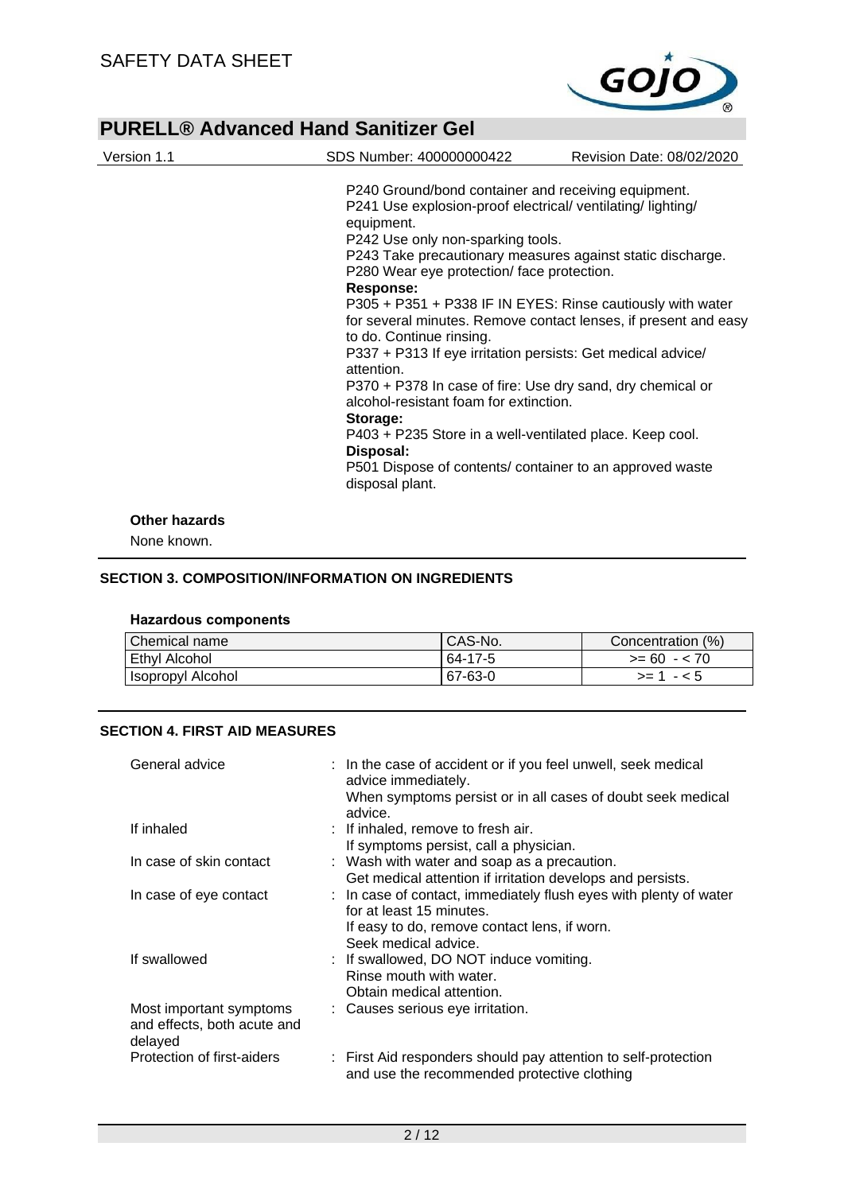

| Version 1.1          | SDS Number: 400000000422                                                                                                                                                                                                                                                                                                                                                                                                                                                                                                                                                                                                                                                                                                                                                                                                 | Revision Date: 08/02/2020 |
|----------------------|--------------------------------------------------------------------------------------------------------------------------------------------------------------------------------------------------------------------------------------------------------------------------------------------------------------------------------------------------------------------------------------------------------------------------------------------------------------------------------------------------------------------------------------------------------------------------------------------------------------------------------------------------------------------------------------------------------------------------------------------------------------------------------------------------------------------------|---------------------------|
|                      | P240 Ground/bond container and receiving equipment.<br>P241 Use explosion-proof electrical/ventilating/lighting/<br>equipment.<br>P242 Use only non-sparking tools.<br>P243 Take precautionary measures against static discharge.<br>P280 Wear eye protection/face protection.<br><b>Response:</b><br>P305 + P351 + P338 IF IN EYES: Rinse cautiously with water<br>for several minutes. Remove contact lenses, if present and easy<br>to do. Continue rinsing.<br>P337 + P313 If eye irritation persists: Get medical advice/<br>attention.<br>P370 + P378 In case of fire: Use dry sand, dry chemical or<br>alcohol-resistant foam for extinction.<br>Storage:<br>P403 + P235 Store in a well-ventilated place. Keep cool.<br>Disposal:<br>P501 Dispose of contents/ container to an approved waste<br>disposal plant. |                           |
| <b>Other hazards</b> |                                                                                                                                                                                                                                                                                                                                                                                                                                                                                                                                                                                                                                                                                                                                                                                                                          |                           |

None known.

#### **SECTION 3. COMPOSITION/INFORMATION ON INGREDIENTS**

#### **Hazardous components**

| Chemical name     | CAS-No. | Concentration (%) |
|-------------------|---------|-------------------|
| Ethyl Alcohol     | 64-17-5 | $>= 60 - 70$      |
| Isopropyl Alcohol | 67-63-0 | $>= 1 - 5$        |

## **SECTION 4. FIRST AID MEASURES**

| General advice                                                    | : In the case of accident or if you feel unwell, seek medical<br>advice immediately.<br>When symptoms persist or in all cases of doubt seek medical<br>advice.        |
|-------------------------------------------------------------------|-----------------------------------------------------------------------------------------------------------------------------------------------------------------------|
| If inhaled                                                        | : If inhaled, remove to fresh air.<br>If symptoms persist, call a physician.                                                                                          |
| In case of skin contact                                           | : Wash with water and soap as a precaution.<br>Get medical attention if irritation develops and persists.                                                             |
| In case of eye contact                                            | : In case of contact, immediately flush eyes with plenty of water<br>for at least 15 minutes.<br>If easy to do, remove contact lens, if worn.<br>Seek medical advice. |
| If swallowed                                                      | : If swallowed, DO NOT induce vomiting.<br>Rinse mouth with water.<br>Obtain medical attention.                                                                       |
| Most important symptoms<br>and effects, both acute and<br>delayed | : Causes serious eye irritation.                                                                                                                                      |
| Protection of first-aiders                                        | : First Aid responders should pay attention to self-protection<br>and use the recommended protective clothing                                                         |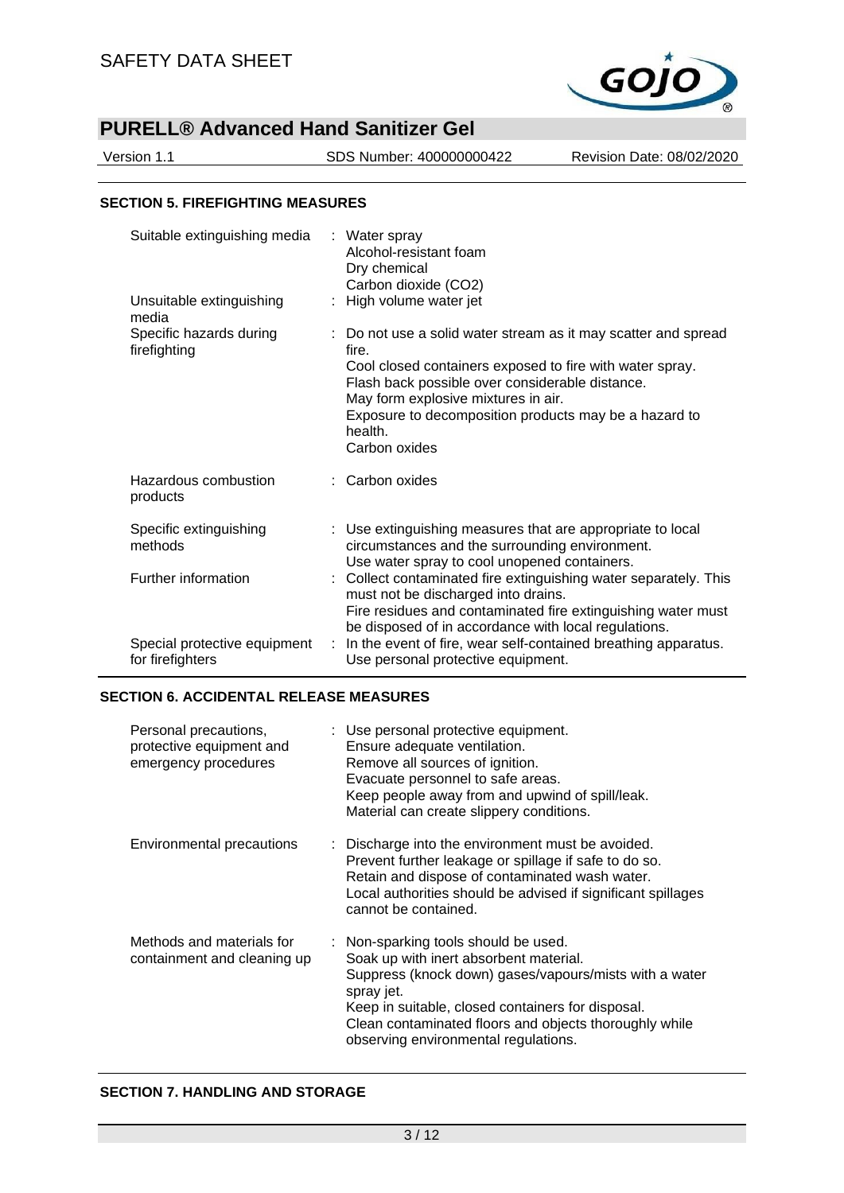

Version 1.1 SDS Number: 400000000422 Revision Date: 08/02/2020

#### **SECTION 5. FIREFIGHTING MEASURES**

| Suitable extinguishing media                     |   | : Water spray<br>Alcohol-resistant foam<br>Dry chemical<br>Carbon dioxide (CO2)                                                                                                                                                                                                                                    |
|--------------------------------------------------|---|--------------------------------------------------------------------------------------------------------------------------------------------------------------------------------------------------------------------------------------------------------------------------------------------------------------------|
| Unsuitable extinguishing<br>media                |   | High volume water jet                                                                                                                                                                                                                                                                                              |
| Specific hazards during<br>firefighting          |   | : Do not use a solid water stream as it may scatter and spread<br>fire.<br>Cool closed containers exposed to fire with water spray.<br>Flash back possible over considerable distance.<br>May form explosive mixtures in air.<br>Exposure to decomposition products may be a hazard to<br>health.<br>Carbon oxides |
| Hazardous combustion<br>products                 |   | : Carbon oxides                                                                                                                                                                                                                                                                                                    |
| Specific extinguishing<br>methods                |   | : Use extinguishing measures that are appropriate to local<br>circumstances and the surrounding environment.<br>Use water spray to cool unopened containers.                                                                                                                                                       |
| Further information                              |   | : Collect contaminated fire extinguishing water separately. This<br>must not be discharged into drains.<br>Fire residues and contaminated fire extinguishing water must<br>be disposed of in accordance with local regulations.                                                                                    |
| Special protective equipment<br>for firefighters | ÷ | In the event of fire, wear self-contained breathing apparatus.<br>Use personal protective equipment.                                                                                                                                                                                                               |

#### **SECTION 6. ACCIDENTAL RELEASE MEASURES**

| Personal precautions,<br>protective equipment and<br>emergency procedures | : Use personal protective equipment.<br>Ensure adequate ventilation.<br>Remove all sources of ignition.<br>Evacuate personnel to safe areas.<br>Keep people away from and upwind of spill/leak.<br>Material can create slippery conditions.                                                                 |
|---------------------------------------------------------------------------|-------------------------------------------------------------------------------------------------------------------------------------------------------------------------------------------------------------------------------------------------------------------------------------------------------------|
| Environmental precautions                                                 | : Discharge into the environment must be avoided.<br>Prevent further leakage or spillage if safe to do so.<br>Retain and dispose of contaminated wash water.<br>Local authorities should be advised if significant spillages<br>cannot be contained.                                                        |
| Methods and materials for<br>containment and cleaning up                  | Non-sparking tools should be used.<br>Soak up with inert absorbent material.<br>Suppress (knock down) gases/vapours/mists with a water<br>spray jet.<br>Keep in suitable, closed containers for disposal.<br>Clean contaminated floors and objects thoroughly while<br>observing environmental regulations. |

### **SECTION 7. HANDLING AND STORAGE**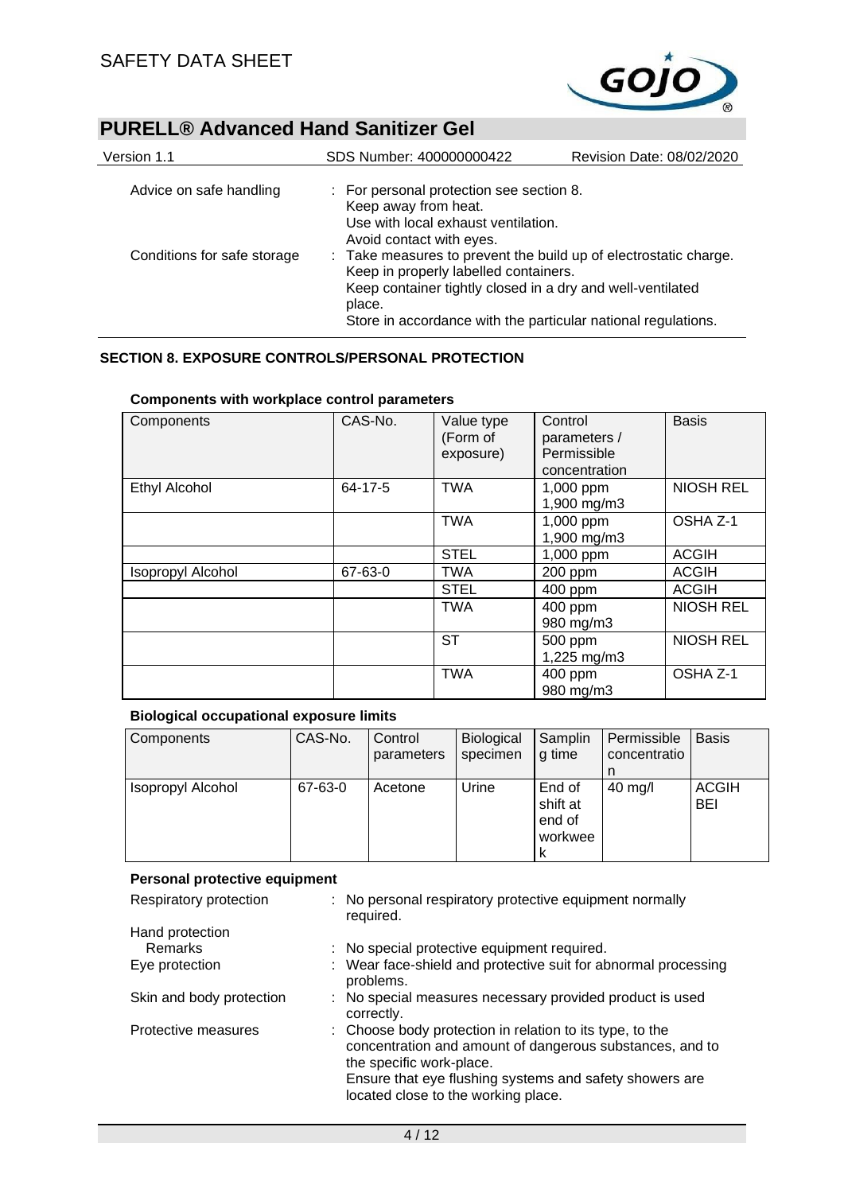

| Version 1.1                 | SDS Number: 400000000422                                                                                                                                                                                                                           | Revision Date: 08/02/2020 |  |
|-----------------------------|----------------------------------------------------------------------------------------------------------------------------------------------------------------------------------------------------------------------------------------------------|---------------------------|--|
| Advice on safe handling     | : For personal protection see section 8.<br>Keep away from heat.<br>Use with local exhaust ventilation.<br>Avoid contact with eyes.                                                                                                                |                           |  |
| Conditions for safe storage | : Take measures to prevent the build up of electrostatic charge.<br>Keep in properly labelled containers.<br>Keep container tightly closed in a dry and well-ventilated<br>place.<br>Store in accordance with the particular national regulations. |                           |  |

## **SECTION 8. EXPOSURE CONTROLS/PERSONAL PROTECTION**

## **Components with workplace control parameters**

| Components               | CAS-No. | Value type<br>(Form of<br>exposure) | Control<br>parameters /<br>Permissible<br>concentration | <b>Basis</b>     |
|--------------------------|---------|-------------------------------------|---------------------------------------------------------|------------------|
| <b>Ethyl Alcohol</b>     | 64-17-5 | <b>TWA</b>                          | 1,000 ppm<br>1,900 mg/m3                                | <b>NIOSH REL</b> |
|                          |         | <b>TWA</b>                          | 1,000 ppm<br>1,900 mg/m3                                | OSHA Z-1         |
|                          |         | <b>STEL</b>                         | 1,000 ppm                                               | <b>ACGIH</b>     |
| <b>Isopropyl Alcohol</b> | 67-63-0 | <b>TWA</b>                          | 200 ppm                                                 | <b>ACGIH</b>     |
|                          |         | <b>STEL</b>                         | 400 ppm                                                 | <b>ACGIH</b>     |
|                          |         | <b>TWA</b>                          | 400 ppm<br>980 mg/m3                                    | <b>NIOSH REL</b> |
|                          |         | <b>ST</b>                           | 500 ppm<br>1,225 mg/m3                                  | <b>NIOSH REL</b> |
|                          |         | <b>TWA</b>                          | 400 ppm<br>980 mg/m3                                    | OSHA Z-1         |

#### **Biological occupational exposure limits**

| Components        | CAS-No. | Control<br>parameters | <b>Biological</b><br>specimen | Samplin<br>q time                            | Permissible<br>concentratio | <b>Basis</b>               |
|-------------------|---------|-----------------------|-------------------------------|----------------------------------------------|-----------------------------|----------------------------|
| Isopropyl Alcohol | 67-63-0 | Acetone               | Urine                         | End of<br>shift at<br>end of<br>workwee<br>ĸ | $40 \text{ mg/l}$           | <b>ACGIH</b><br><b>BEI</b> |

### **Personal protective equipment**

| Respiratory protection   | : No personal respiratory protective equipment normally<br>required.                                                                                                                                                                               |
|--------------------------|----------------------------------------------------------------------------------------------------------------------------------------------------------------------------------------------------------------------------------------------------|
| Hand protection          |                                                                                                                                                                                                                                                    |
| <b>Remarks</b>           | : No special protective equipment required.                                                                                                                                                                                                        |
| Eye protection           | : Wear face-shield and protective suit for abnormal processing<br>problems.                                                                                                                                                                        |
| Skin and body protection | : No special measures necessary provided product is used<br>correctly.                                                                                                                                                                             |
| Protective measures      | : Choose body protection in relation to its type, to the<br>concentration and amount of dangerous substances, and to<br>the specific work-place.<br>Ensure that eye flushing systems and safety showers are<br>located close to the working place. |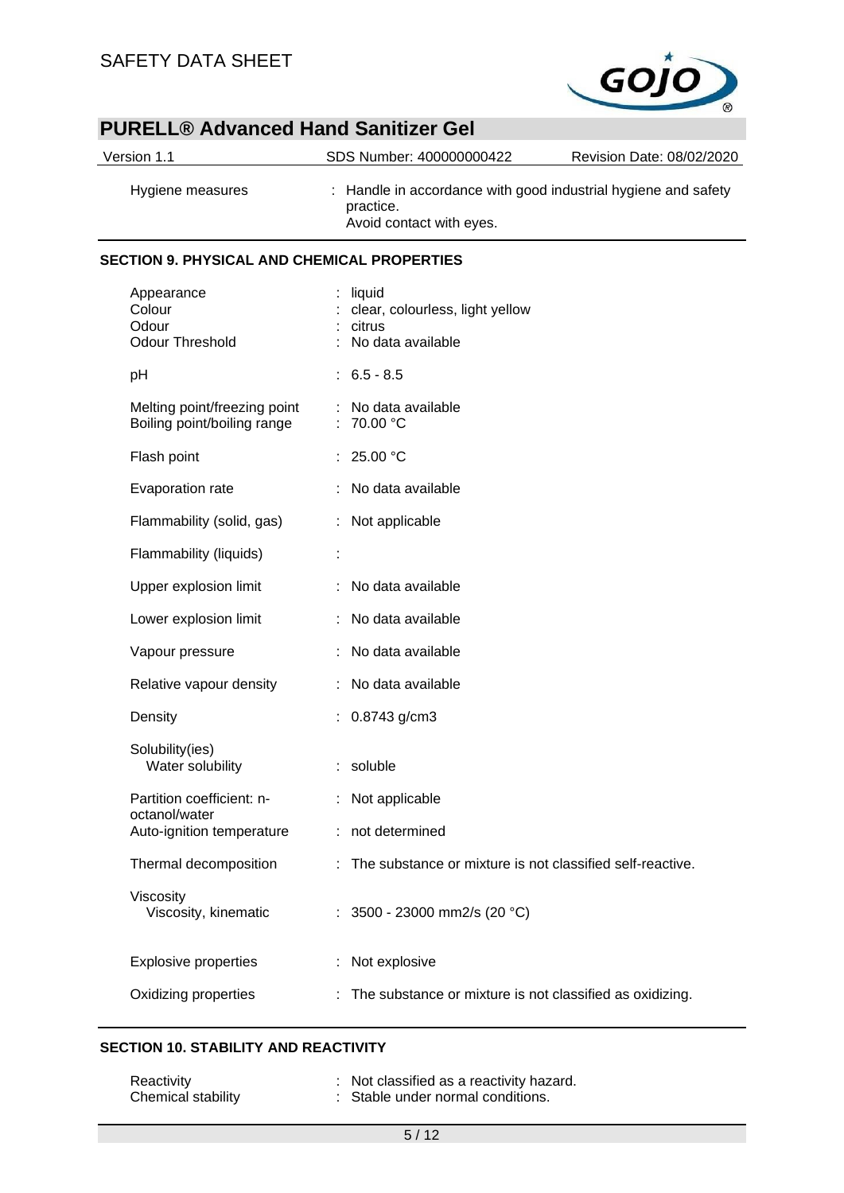

| Version 1.1                                                 | SDS Number: 400000000422                                                                                | Revision Date: 08/02/2020 |
|-------------------------------------------------------------|---------------------------------------------------------------------------------------------------------|---------------------------|
| Hygiene measures                                            | : Handle in accordance with good industrial hygiene and safety<br>practice.<br>Avoid contact with eyes. |                           |
| <b>SECTION 9. PHYSICAL AND CHEMICAL PROPERTIES</b>          |                                                                                                         |                           |
| Appearance<br>Colour<br>Odour<br><b>Odour Threshold</b>     | liquid<br>clear, colourless, light yellow<br>citrus<br>No data available                                |                           |
| pH                                                          | $6.5 - 8.5$                                                                                             |                           |
| Melting point/freezing point<br>Boiling point/boiling range | No data available<br>70.00 °C                                                                           |                           |
| Flash point                                                 | : $25.00 °C$                                                                                            |                           |
| Evaporation rate                                            | No data available                                                                                       |                           |
| Flammability (solid, gas)                                   | : Not applicable                                                                                        |                           |
| Flammability (liquids)                                      |                                                                                                         |                           |
| Upper explosion limit                                       | No data available                                                                                       |                           |
| Lower explosion limit                                       | No data available                                                                                       |                           |
| Vapour pressure                                             | No data available                                                                                       |                           |
| Relative vapour density                                     | No data available                                                                                       |                           |
| Density                                                     | 0.8743 g/cm3                                                                                            |                           |
| Solubility(ies)<br>Water solubility                         | : soluble                                                                                               |                           |
| Partition coefficient: n-<br>octanol/water                  | Not applicable                                                                                          |                           |
| Auto-ignition temperature                                   | not determined                                                                                          |                           |
| Thermal decomposition                                       | The substance or mixture is not classified self-reactive.                                               |                           |
| Viscosity<br>Viscosity, kinematic                           | : $3500 - 23000$ mm2/s (20 °C)                                                                          |                           |
| <b>Explosive properties</b>                                 | Not explosive                                                                                           |                           |
| Oxidizing properties                                        | The substance or mixture is not classified as oxidizing.                                                |                           |

## **SECTION 10. STABILITY AND REACTIVITY**

| Reactivity         | : Not classified as a reactivity hazard. |
|--------------------|------------------------------------------|
| Chemical stability | : Stable under normal conditions.        |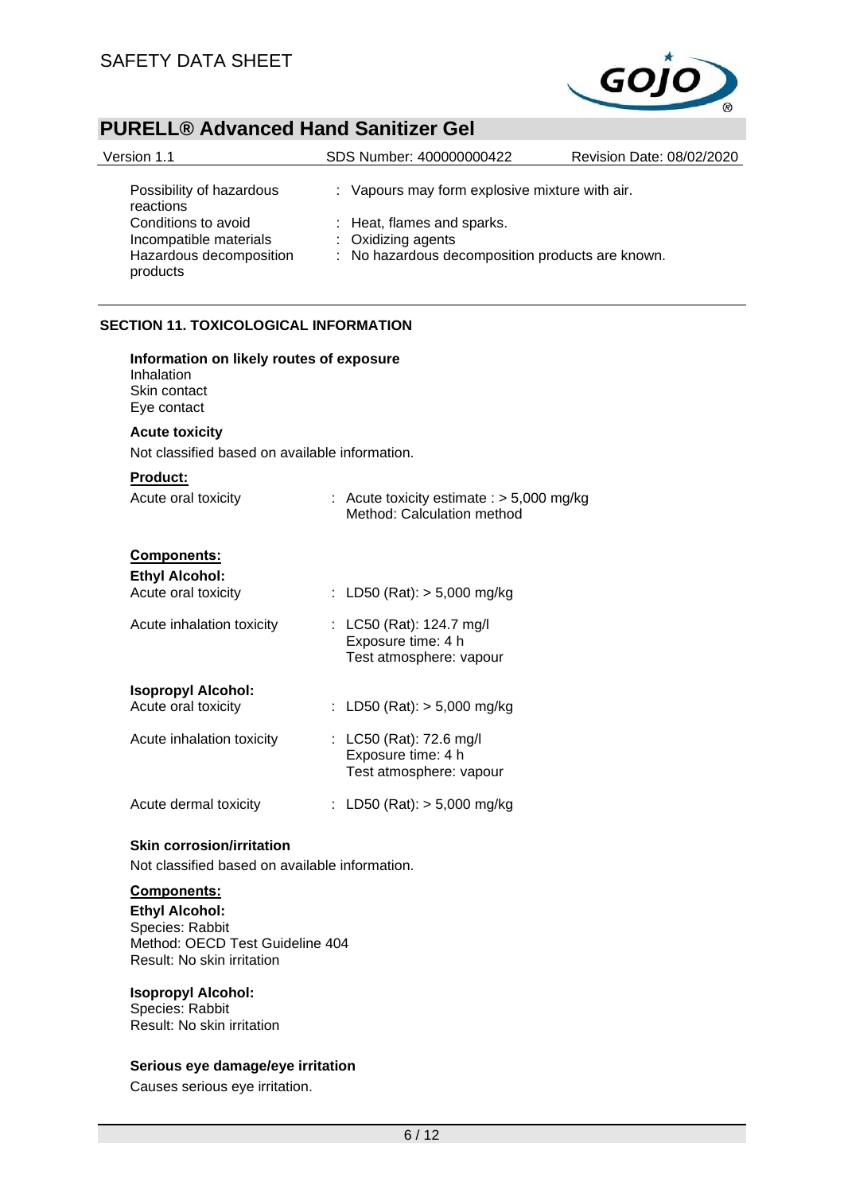

| Version 1.1                                                                          | SDS Number: 400000000422                                                                             | Revision Date: 08/02/2020 |
|--------------------------------------------------------------------------------------|------------------------------------------------------------------------------------------------------|---------------------------|
| Possibility of hazardous<br>reactions                                                | : Vapours may form explosive mixture with air.                                                       |                           |
| Conditions to avoid<br>Incompatible materials<br>Hazardous decomposition<br>products | : Heat, flames and sparks.<br>: Oxidizing agents<br>: No hazardous decomposition products are known. |                           |

### **SECTION 11. TOXICOLOGICAL INFORMATION**

| Information on likely routes of exposure<br>Inhalation<br>Skin contact<br>Eye contact |  |                                                                           |  |  |
|---------------------------------------------------------------------------------------|--|---------------------------------------------------------------------------|--|--|
| <b>Acute toxicity</b>                                                                 |  |                                                                           |  |  |
| Not classified based on available information.                                        |  |                                                                           |  |  |
| <b>Product:</b><br>Acute oral toxicity                                                |  | : Acute toxicity estimate : $> 5,000$ mg/kg<br>Method: Calculation method |  |  |
| <b>Components:</b>                                                                    |  |                                                                           |  |  |
| <b>Ethyl Alcohol:</b>                                                                 |  |                                                                           |  |  |
| Acute oral toxicity                                                                   |  | : LD50 (Rat): $>$ 5,000 mg/kg                                             |  |  |
| Acute inhalation toxicity                                                             |  | : LC50 (Rat): 124.7 mg/l<br>Exposure time: 4 h<br>Test atmosphere: vapour |  |  |
| <b>Isopropyl Alcohol:</b>                                                             |  |                                                                           |  |  |
| Acute oral toxicity                                                                   |  | : LD50 (Rat): $>$ 5,000 mg/kg                                             |  |  |
| Acute inhalation toxicity                                                             |  | : LC50 (Rat): 72.6 mg/l<br>Exposure time: 4 h<br>Test atmosphere: vapour  |  |  |
| Acute dermal toxicity                                                                 |  | : LD50 (Rat): $>$ 5,000 mg/kg                                             |  |  |

## **Skin corrosion/irritation**

Not classified based on available information.

## **Components:**

**Ethyl Alcohol:** Species: Rabbit Method: OECD Test Guideline 404 Result: No skin irritation

#### **Isopropyl Alcohol:**

Species: Rabbit Result: No skin irritation

#### **Serious eye damage/eye irritation**

Causes serious eye irritation.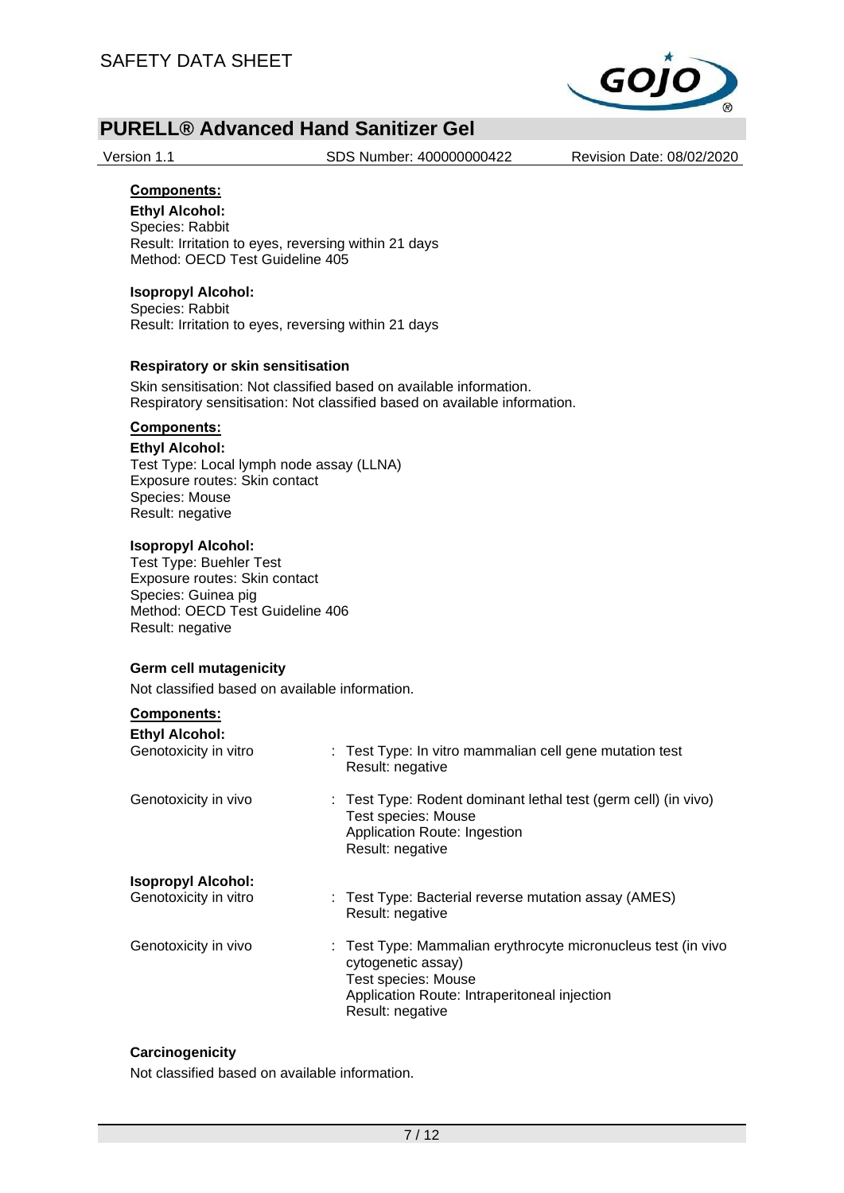

Version 1.1 SDS Number: 400000000422 Revision Date: 08/02/2020

## **Components:**

**Ethyl Alcohol:** Species: Rabbit Result: Irritation to eyes, reversing within 21 days Method: OECD Test Guideline 405

### **Isopropyl Alcohol:**

Species: Rabbit Result: Irritation to eyes, reversing within 21 days

#### **Respiratory or skin sensitisation**

Skin sensitisation: Not classified based on available information. Respiratory sensitisation: Not classified based on available information.

## **Components:**

#### **Ethyl Alcohol:**

Test Type: Local lymph node assay (LLNA) Exposure routes: Skin contact Species: Mouse Result: negative

#### **Isopropyl Alcohol:**

Test Type: Buehler Test Exposure routes: Skin contact Species: Guinea pig Method: OECD Test Guideline 406 Result: negative

#### **Germ cell mutagenicity**

Not classified based on available information.

## **Components:**

| <b>Ethyl Alcohol:</b>     | : Test Type: In vitro mammalian cell gene mutation test                                                                                                                        |
|---------------------------|--------------------------------------------------------------------------------------------------------------------------------------------------------------------------------|
| Genotoxicity in vitro     | Result: negative                                                                                                                                                               |
| Genotoxicity in vivo      | : Test Type: Rodent dominant lethal test (germ cell) (in vivo)<br>Test species: Mouse<br>Application Route: Ingestion<br>Result: negative                                      |
| <b>Isopropyl Alcohol:</b> | : Test Type: Bacterial reverse mutation assay (AMES)                                                                                                                           |
| Genotoxicity in vitro     | Result: negative                                                                                                                                                               |
| Genotoxicity in vivo      | : Test Type: Mammalian erythrocyte micronucleus test (in vivo<br>cytogenetic assay)<br>Test species: Mouse<br>Application Route: Intraperitoneal injection<br>Result: negative |

#### **Carcinogenicity**

Not classified based on available information.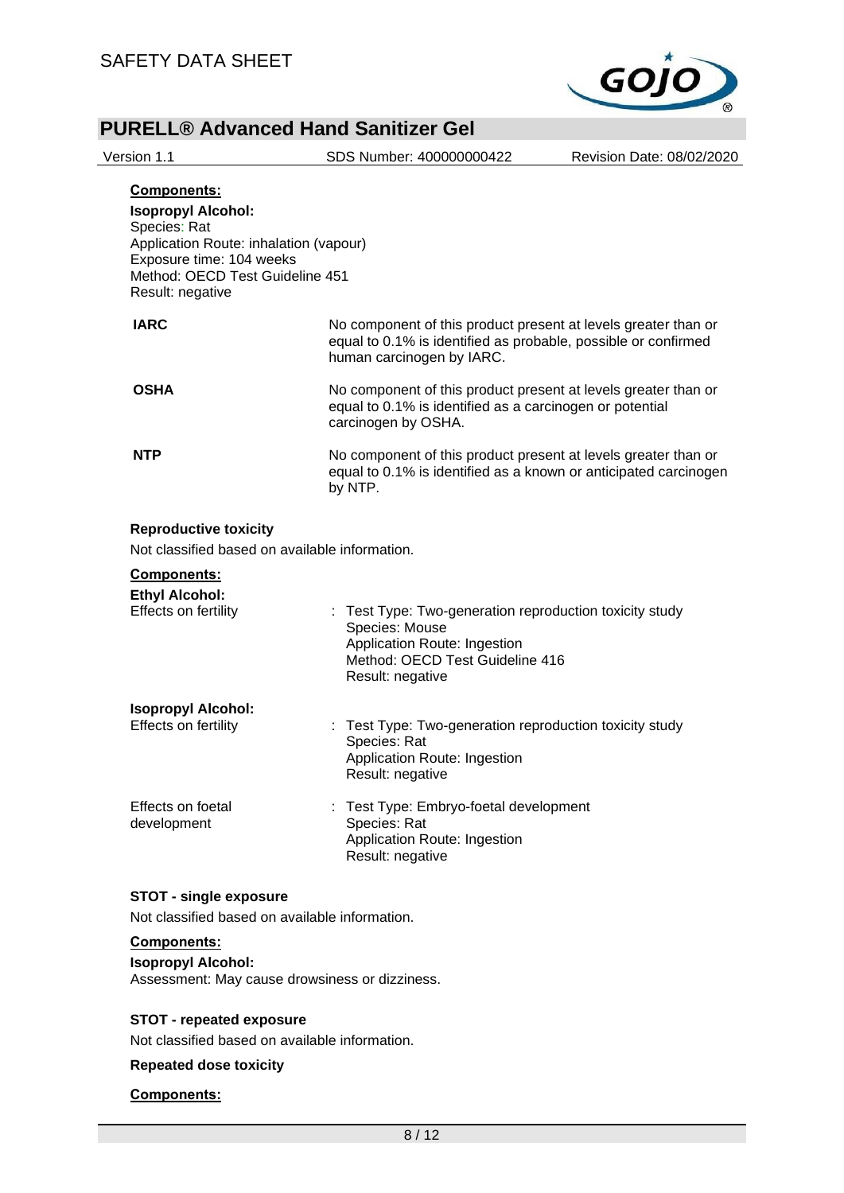

| Version 1.1                                                                                                                                                       | SDS Number: 400000000422                                                                                                                                      | Revision Date: 08/02/2020 |
|-------------------------------------------------------------------------------------------------------------------------------------------------------------------|---------------------------------------------------------------------------------------------------------------------------------------------------------------|---------------------------|
| Components:<br><b>Isopropyl Alcohol:</b><br>Species: Rat<br>Application Route: inhalation (vapour)<br>Exposure time: 104 weeks<br>Method: OECD Test Guideline 451 |                                                                                                                                                               |                           |
| Result: negative                                                                                                                                                  |                                                                                                                                                               |                           |
| <b>IARC</b>                                                                                                                                                       | No component of this product present at levels greater than or<br>equal to 0.1% is identified as probable, possible or confirmed<br>human carcinogen by IARC. |                           |
| <b>OSHA</b>                                                                                                                                                       | No component of this product present at levels greater than or<br>equal to 0.1% is identified as a carcinogen or potential<br>carcinogen by OSHA.             |                           |
| <b>NTP</b>                                                                                                                                                        | No component of this product present at levels greater than or<br>equal to 0.1% is identified as a known or anticipated carcinogen<br>by NTP.                 |                           |
| <b>Reproductive toxicity</b><br>Not classified based on available information.<br>Components:<br><b>Ethyl Alcohol:</b><br>Effects on fertility                    | : Test Type: Two-generation reproduction toxicity study<br>Species: Mouse<br>Application Route: Ingestion<br>Method: OECD Test Guideline 416                  |                           |
|                                                                                                                                                                   | Result: negative                                                                                                                                              |                           |
| <b>Isopropyl Alcohol:</b><br>Effects on fertility                                                                                                                 | : Test Type: Two-generation reproduction toxicity study<br>Species: Rat<br>Application Route: Ingestion<br>Result: negative                                   |                           |
| Effects on foetal<br>development                                                                                                                                  | Test Type: Embryo-foetal development<br>Species: Rat<br>Application Route: Ingestion<br>Result: negative                                                      |                           |
| <b>STOT - single exposure</b><br>Not classified based on available information.                                                                                   |                                                                                                                                                               |                           |

**Components:**

**Isopropyl Alcohol:** Assessment: May cause drowsiness or dizziness.

### **STOT - repeated exposure**

Not classified based on available information.

**Repeated dose toxicity**

#### **Components:**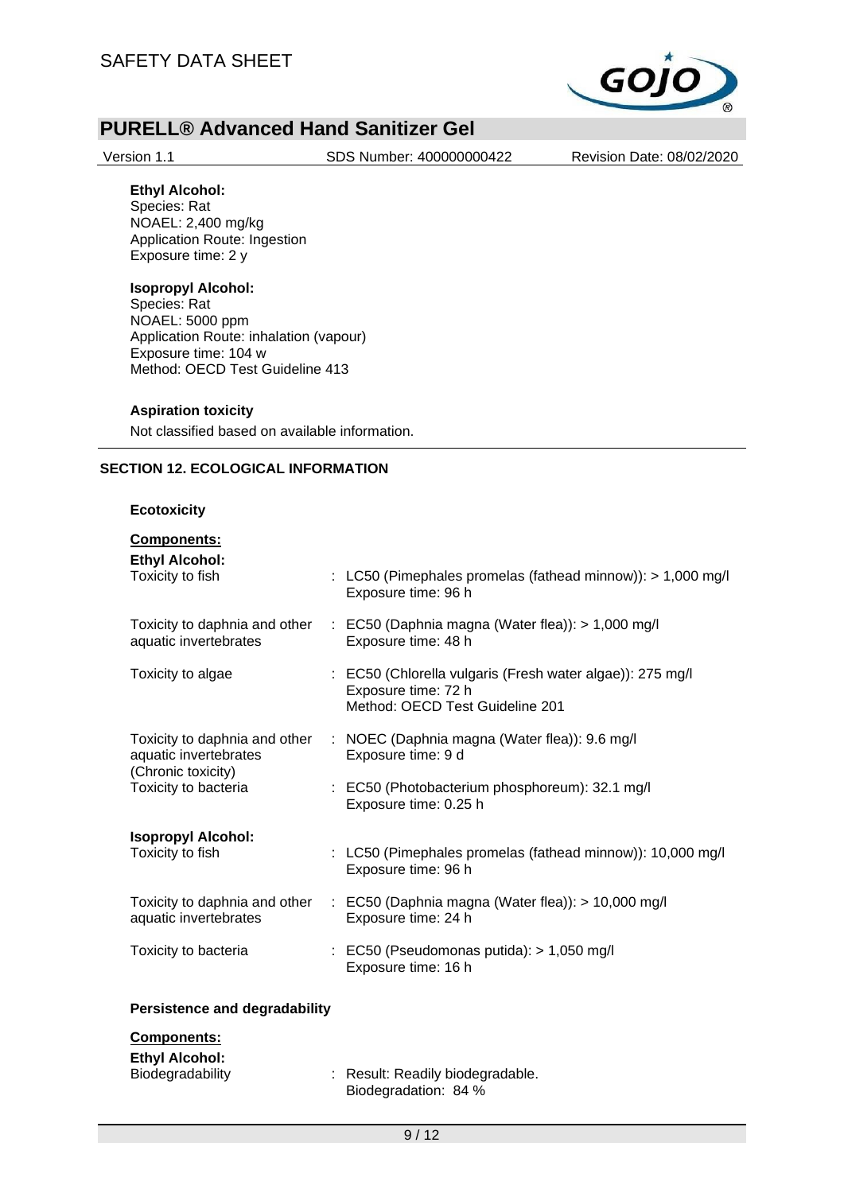

Version 1.1 SDS Number: 400000000422 Revision Date: 08/02/2020

#### **Ethyl Alcohol:**

Species: Rat NOAEL: 2,400 mg/kg Application Route: Ingestion Exposure time: 2 y

### **Isopropyl Alcohol:**

Species: Rat NOAEL: 5000 ppm Application Route: inhalation (vapour) Exposure time: 104 w Method: OECD Test Guideline 413

#### **Aspiration toxicity**

Not classified based on available information.

### **SECTION 12. ECOLOGICAL INFORMATION**

#### **Ecotoxicity**

| <b>Components:</b>                                       |  |                                                                                                                     |
|----------------------------------------------------------|--|---------------------------------------------------------------------------------------------------------------------|
| <b>Ethyl Alcohol:</b><br>Toxicity to fish                |  | : LC50 (Pimephales promelas (fathead minnow)): > 1,000 mg/l<br>Exposure time: 96 h                                  |
| Toxicity to daphnia and other<br>aquatic invertebrates   |  | $\therefore$ EC50 (Daphnia magna (Water flea)): > 1,000 mg/l<br>Exposure time: 48 h                                 |
| Toxicity to algae                                        |  | : EC50 (Chlorella vulgaris (Fresh water algae)): 275 mg/l<br>Exposure time: 72 h<br>Method: OECD Test Guideline 201 |
| aquatic invertebrates                                    |  | Toxicity to daphnia and other : NOEC (Daphnia magna (Water flea)): 9.6 mg/l<br>Exposure time: 9 d                   |
| (Chronic toxicity)<br>Toxicity to bacteria               |  | : EC50 (Photobacterium phosphoreum): 32.1 mg/l<br>Exposure time: 0.25 h                                             |
| <b>Isopropyl Alcohol:</b><br>Toxicity to fish            |  | : LC50 (Pimephales promelas (fathead minnow)): 10,000 mg/l<br>Exposure time: 96 h                                   |
| aquatic invertebrates                                    |  | Toxicity to daphnia and other : EC50 (Daphnia magna (Water flea)): > 10,000 mg/l<br>Exposure time: 24 h             |
| Toxicity to bacteria                                     |  | $\therefore$ EC50 (Pseudomonas putida): > 1,050 mg/l<br>Exposure time: 16 h                                         |
| <b>Persistence and degradability</b>                     |  |                                                                                                                     |
| Components:<br><b>Ethyl Alcohol:</b><br>Biodegradability |  | : Result: Readily biodegradable.                                                                                    |

Biodegradation: 84 %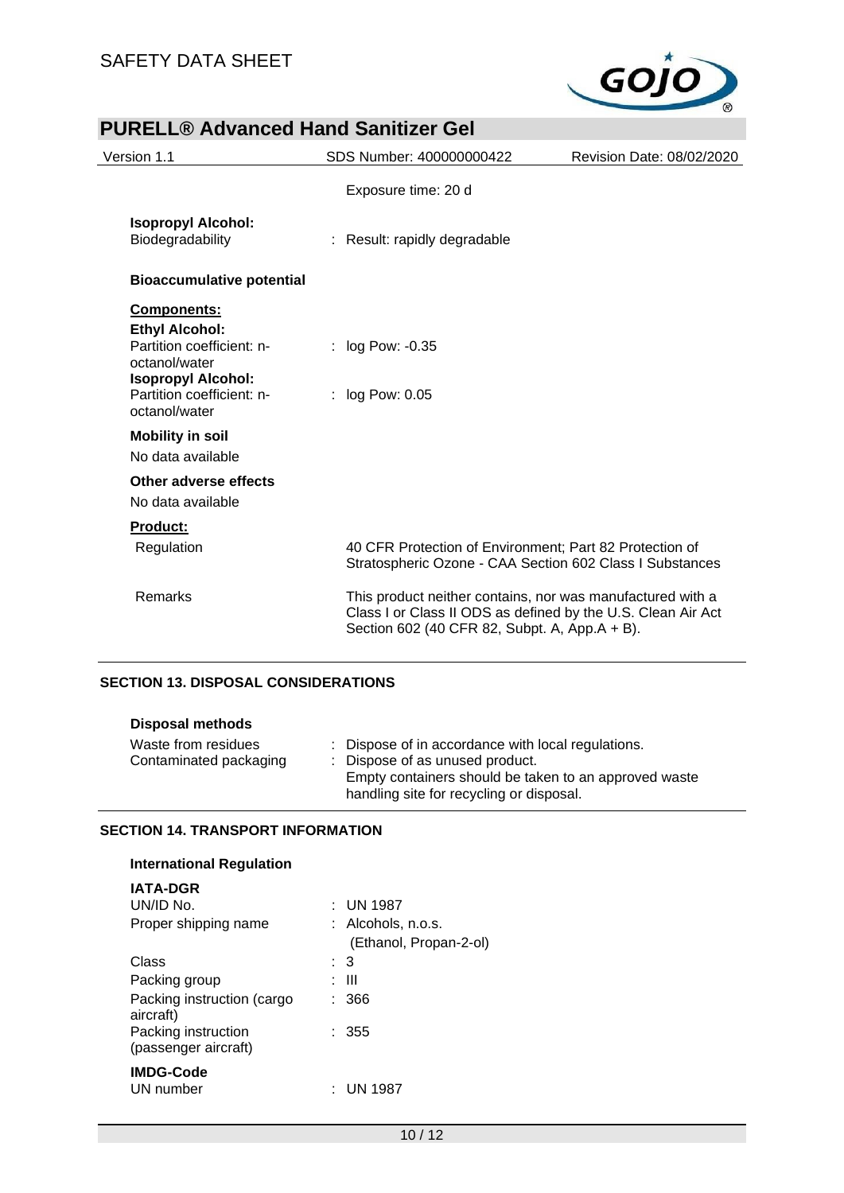

## **PURELL® Advanced Hand Sanitizer Gel** Version 1.1 SDS Number: 400000000422 Revision Date: 08/02/2020 Exposure time: 20 d **Isopropyl Alcohol:** : Result: rapidly degradable **Bioaccumulative potential Components: Ethyl Alcohol:** Partition coefficient: noctanol/water : log Pow: -0.35 **Isopropyl Alcohol:** Partition coefficient: noctanol/water : log Pow: 0.05 **Mobility in soil** No data available **Other adverse effects** No data available **Product:** Regulation 40 CFR Protection of Environment; Part 82 Protection of Stratospheric Ozone - CAA Section 602 Class I Substances Remarks This product neither contains, nor was manufactured with a Class I or Class II ODS as defined by the U.S. Clean Air Act Section 602 (40 CFR 82, Subpt. A, App.A + B).

### **SECTION 13. DISPOSAL CONSIDERATIONS**

| <b>Disposal methods</b>                       |                                                                                                                                                                                            |
|-----------------------------------------------|--------------------------------------------------------------------------------------------------------------------------------------------------------------------------------------------|
| Waste from residues<br>Contaminated packaging | : Dispose of in accordance with local regulations.<br>: Dispose of as unused product.<br>Empty containers should be taken to an approved waste<br>handling site for recycling or disposal. |

#### **SECTION 14. TRANSPORT INFORMATION**

| <b>International Regulation</b>             |                        |
|---------------------------------------------|------------------------|
| <b>IATA-DGR</b>                             |                        |
| UN/ID No.                                   | $:$ UN 1987            |
| Proper shipping name                        | $:$ Alcohols, n.o.s.   |
|                                             | (Ethanol, Propan-2-ol) |
| Class                                       | : 3                    |
| Packing group                               | : III                  |
| Packing instruction (cargo<br>aircraft)     | 366                    |
| Packing instruction<br>(passenger aircraft) | $\therefore$ 355       |
| <b>IMDG-Code</b>                            |                        |
| UN number                                   | UN 1987                |
|                                             |                        |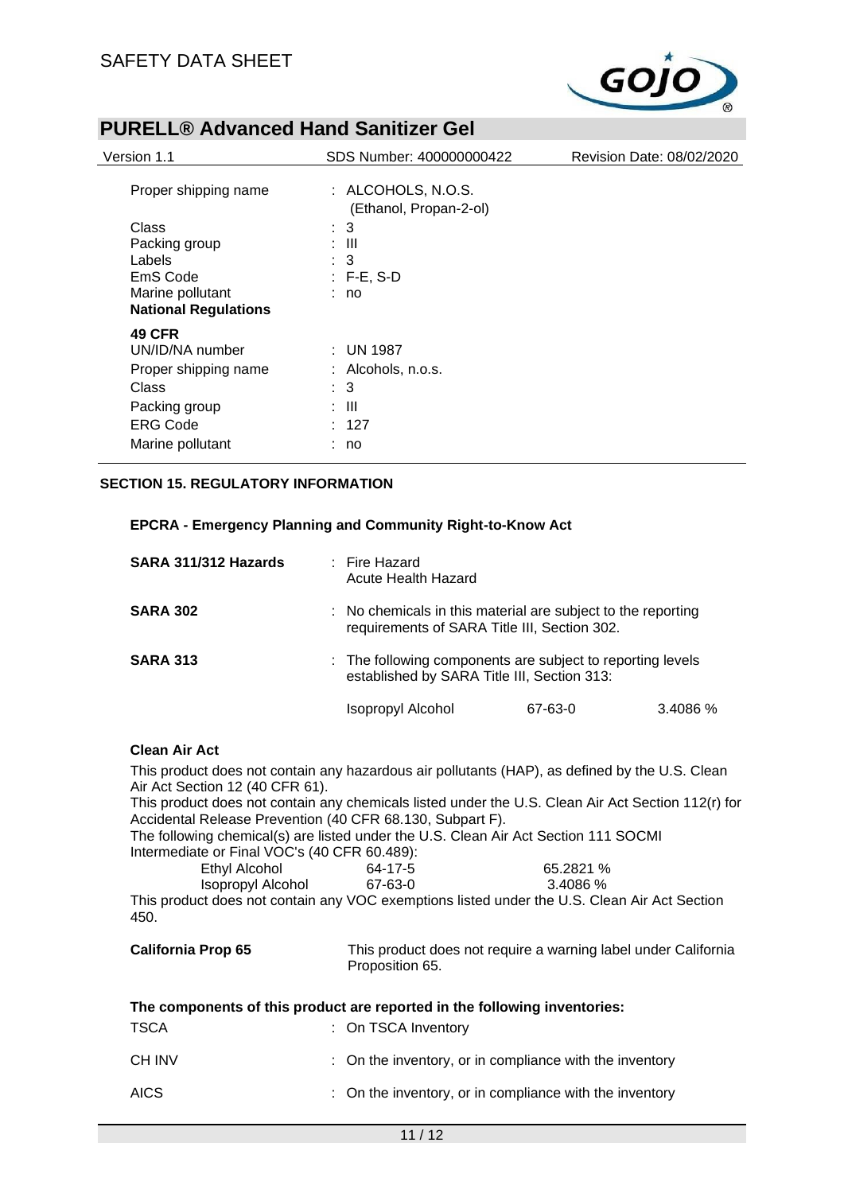

| Version 1.1                                                                                                               | SDS Number: 400000000422                                                        | Revision Date: 08/02/2020 |
|---------------------------------------------------------------------------------------------------------------------------|---------------------------------------------------------------------------------|---------------------------|
| Proper shipping name                                                                                                      | : ALCOHOLS, N.O.S.<br>(Ethanol, Propan-2-ol)                                    |                           |
| Class<br>Packing group<br>Labels<br>EmS Code<br>Marine pollutant<br><b>National Regulations</b>                           | $\therefore$ 3<br>: III<br>3<br>$: F-E, S-D$<br>: no                            |                           |
| <b>49 CFR</b><br>UN/ID/NA number<br>Proper shipping name<br>Class<br>Packing group<br><b>ERG Code</b><br>Marine pollutant | $:$ UN 1987<br>$:$ Alcohols, n.o.s.<br>$\therefore$ 3<br>: III<br>: 127<br>: no |                           |

### **SECTION 15. REGULATORY INFORMATION**

#### **EPCRA - Emergency Planning and Community Right-to-Know Act**

| SARA 311/312 Hazards | $\pm$ Fire Hazard<br>Acute Health Hazard                                                                     |         |          |
|----------------------|--------------------------------------------------------------------------------------------------------------|---------|----------|
| <b>SARA 302</b>      | : No chemicals in this material are subject to the reporting<br>requirements of SARA Title III, Section 302. |         |          |
| <b>SARA 313</b>      | : The following components are subject to reporting levels<br>established by SARA Title III, Section 313:    |         |          |
|                      | Isopropyl Alcohol                                                                                            | 67-63-0 | 3.4086 % |

#### **Clean Air Act**

This product does not contain any hazardous air pollutants (HAP), as defined by the U.S. Clean Air Act Section 12 (40 CFR 61). This product does not contain any chemicals listed under the U.S. Clean Air Act Section 112(r) for

Accidental Release Prevention (40 CFR 68.130, Subpart F). The following chemical(s) are listed under the U.S. Clean Air Act Section 111 SOCMI Intermediate or Final VOC's (40 CFR 60.489):

| Ethyl Alcohol                                                                                          | 64-17-5 | 65.2821 % |
|--------------------------------------------------------------------------------------------------------|---------|-----------|
| Isopropyl Alcohol                                                                                      | 67-63-0 | 3.4086 %  |
| This product does not contain any $V\cap C$ exemptions listed under the $\Box S$ $\cap$ lean $\Lambda$ |         |           |

This product does not contain any VOC exemptions listed under the U.S. Clean Air Act Section 450.

| <b>California Prop 65</b> | This product does not require a warning label under California |
|---------------------------|----------------------------------------------------------------|
|                           | Proposition 65.                                                |

| The components of this product are reported in the following inventories: |                                                         |  |  |
|---------------------------------------------------------------------------|---------------------------------------------------------|--|--|
| <b>TSCA</b>                                                               | : On TSCA Inventory                                     |  |  |
| CH INV                                                                    | : On the inventory, or in compliance with the inventory |  |  |
| <b>AICS</b>                                                               | : On the inventory, or in compliance with the inventory |  |  |